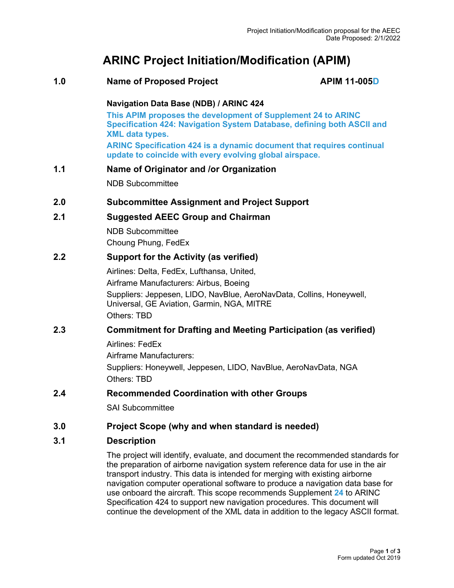# **ARINC Project Initiation/Modification (APIM)**

#### **1.0 Name of Proposed Project APIM 11-005D**

#### **Navigation Data Base (NDB) / ARINC 424**

**This APIM proposes the development of Supplement 24 to ARINC Specification 424: Navigation System Database, defining both ASCII and XML data types.**

**ARINC Specification 424 is a dynamic document that requires continual update to coincide with every evolving global airspace.**

#### **1.1 Name of Originator and /or Organization**

NDB Subcommittee

#### **2.0 Subcommittee Assignment and Project Support**

#### **2.1 Suggested AEEC Group and Chairman**

NDB Subcommittee Choung Phung, FedEx

#### **2.2 Support for the Activity (as verified)**

Airlines: Delta, FedEx, Lufthansa, United, Airframe Manufacturers: Airbus, Boeing Suppliers: Jeppesen, LIDO, NavBlue, AeroNavData, Collins, Honeywell, Universal, GE Aviation, Garmin, NGA, MITRE Others: TBD

#### **2.3 Commitment for Drafting and Meeting Participation (as verified)**

Airlines: FedEx

Airframe Manufacturers: Suppliers: Honeywell, Jeppesen, LIDO, NavBlue, AeroNavData, NGA Others: TBD

#### **2.4 Recommended Coordination with other Groups**

SAI Subcommittee

#### **3.0 Project Scope (why and when standard is needed)**

#### **3.1 Description**

The project will identify, evaluate, and document the recommended standards for the preparation of airborne navigation system reference data for use in the air transport industry. This data is intended for merging with existing airborne navigation computer operational software to produce a navigation data base for use onboard the aircraft. This scope recommends Supplement **24** to ARINC Specification 424 to support new navigation procedures. This document will continue the development of the XML data in addition to the legacy ASCII format.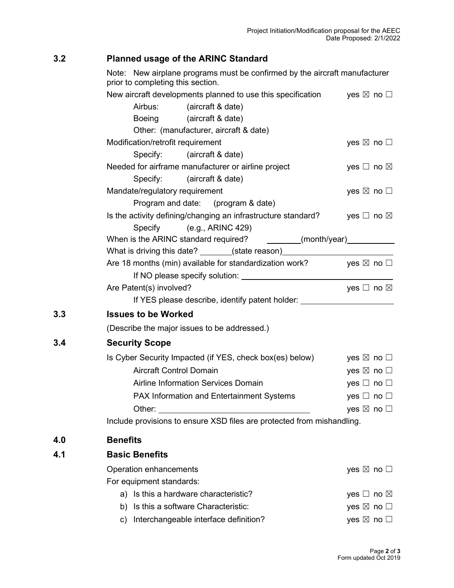## **3.2 Planned usage of the ARINC Standard**

**4.0 Benefits**

Note: New airplane programs must be confirmed by the aircraft manufacturer prior to completing this section.

|     | New aircraft developments planned to use this specification                       | yes $\boxtimes$ no $\Box$    |  |  |  |  |
|-----|-----------------------------------------------------------------------------------|------------------------------|--|--|--|--|
|     | Airbus: (aircraft & date)                                                         |                              |  |  |  |  |
|     | Boeing (aircraft & date)                                                          |                              |  |  |  |  |
|     | Other: (manufacturer, aircraft & date)                                            |                              |  |  |  |  |
|     | Modification/retrofit requirement                                                 | yes $\boxtimes$ no $\square$ |  |  |  |  |
|     | Specify: (aircraft & date)                                                        |                              |  |  |  |  |
|     | Needed for airframe manufacturer or airline project                               | yes $\Box$ no $\boxtimes$    |  |  |  |  |
|     | Specify: (aircraft & date)                                                        |                              |  |  |  |  |
|     | Mandate/regulatory requirement                                                    | yes $\boxtimes$ no $\square$ |  |  |  |  |
|     | Program and date: (program & date)                                                |                              |  |  |  |  |
|     | Is the activity defining/changing an infrastructure standard?                     | yes $\Box$ no $\boxtimes$    |  |  |  |  |
|     | Specify (e.g., ARINC 429)                                                         |                              |  |  |  |  |
|     | When is the ARINC standard required? ________(month/year)___________              |                              |  |  |  |  |
|     | What is driving this date? _______(state reason)________________________________  |                              |  |  |  |  |
|     | Are 18 months (min) available for standardization work? yes $\boxtimes$ no $\Box$ |                              |  |  |  |  |
|     |                                                                                   |                              |  |  |  |  |
|     | Are Patent(s) involved?                                                           | yes $\Box$ no $\boxtimes$    |  |  |  |  |
|     | If YES please describe, identify patent holder: ________________________________  |                              |  |  |  |  |
| 3.3 | <b>Issues to be Worked</b>                                                        |                              |  |  |  |  |
|     | (Describe the major issues to be addressed.)                                      |                              |  |  |  |  |
| 3.4 | <b>Security Scope</b>                                                             |                              |  |  |  |  |
|     | Is Cyber Security Impacted (if YES, check box(es) below)                          | yes $\boxtimes$ no $\square$ |  |  |  |  |
|     | <b>Aircraft Control Domain</b>                                                    | yes $\boxtimes$ no $\square$ |  |  |  |  |
|     | Airline Information Services Domain                                               | yes $\Box$ no $\Box$         |  |  |  |  |
|     | PAX Information and Entertainment Systems                                         | yes $\Box$ no $\Box$         |  |  |  |  |
|     |                                                                                   | yes $\boxtimes$ no $\square$ |  |  |  |  |
|     | Include provisions to ensure XSD files are protected from mishandling.            |                              |  |  |  |  |
| 4.0 | <b>Benefits</b>                                                                   |                              |  |  |  |  |
| 4.1 | <b>Basic Benefits</b>                                                             |                              |  |  |  |  |
|     | Operation enhancements                                                            | yes $\boxtimes$ no $\Box$    |  |  |  |  |
|     | For equipment standards:                                                          |                              |  |  |  |  |
|     | a) Is this a hardware characteristic?                                             | yes $\Box$ no $\boxtimes$    |  |  |  |  |
|     | Is this a software Characteristic:<br>b)                                          | yes $\boxtimes$ no $\square$ |  |  |  |  |
|     | Interchangeable interface definition?<br>C)                                       | yes ⊠ no □                   |  |  |  |  |